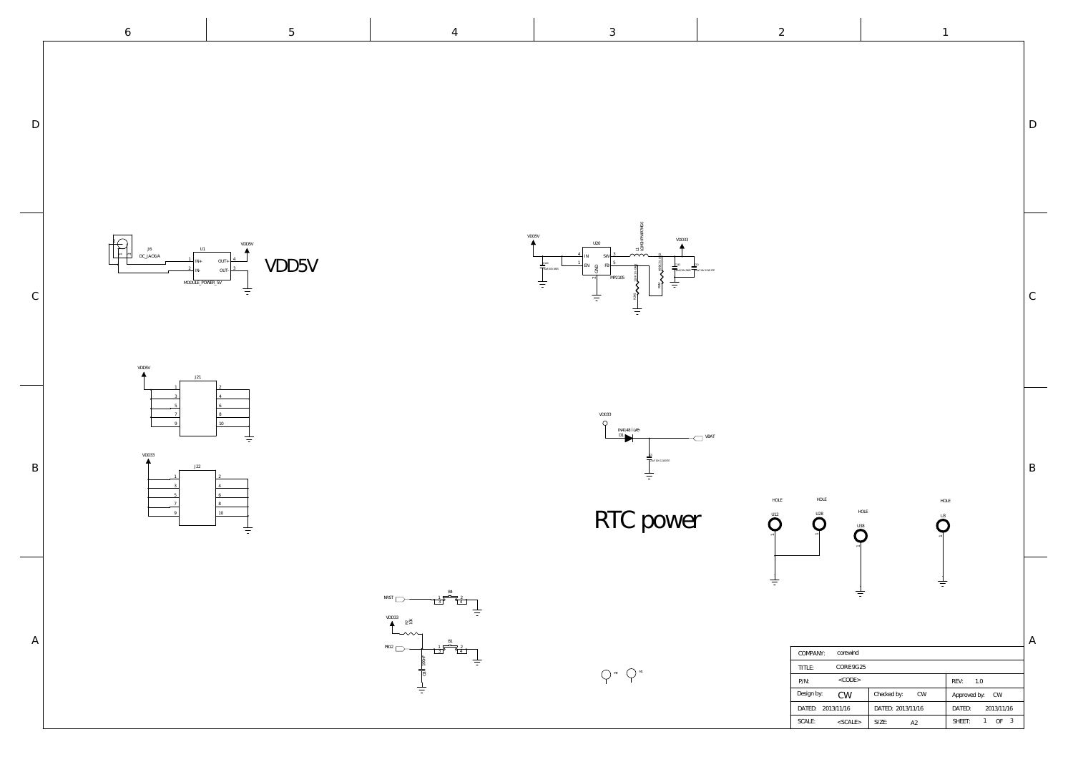D

 $\mathcal{C}$ 

B

A

| corewind<br>COMPANY:    |                   |                      |
|-------------------------|-------------------|----------------------|
| CORE9G25<br>TITLE:      |                   |                      |
| $<$ CODE><br>$P/N$ :    |                   | REV:<br>1.0          |
| Design by:<br>CW        | Checked by:<br>CW | Approved by: CW      |
| DATED: 2013/11/16       | DATED: 2013/11/16 | DATED:<br>2013/11/16 |
| SCALE:<br>$<$ SCALE $>$ | SIZE:<br>A2       | -3<br>OF<br>SHEET:   |

## RTC power

M9 ( ) M1



U3  $\mathbf O$ 

3 SW 5 FB

U20



L1

LQM2HPN4R7MG0

 $\sim$ a<br>a





HOLE

 $\frac{1}{1}$ 

VDD33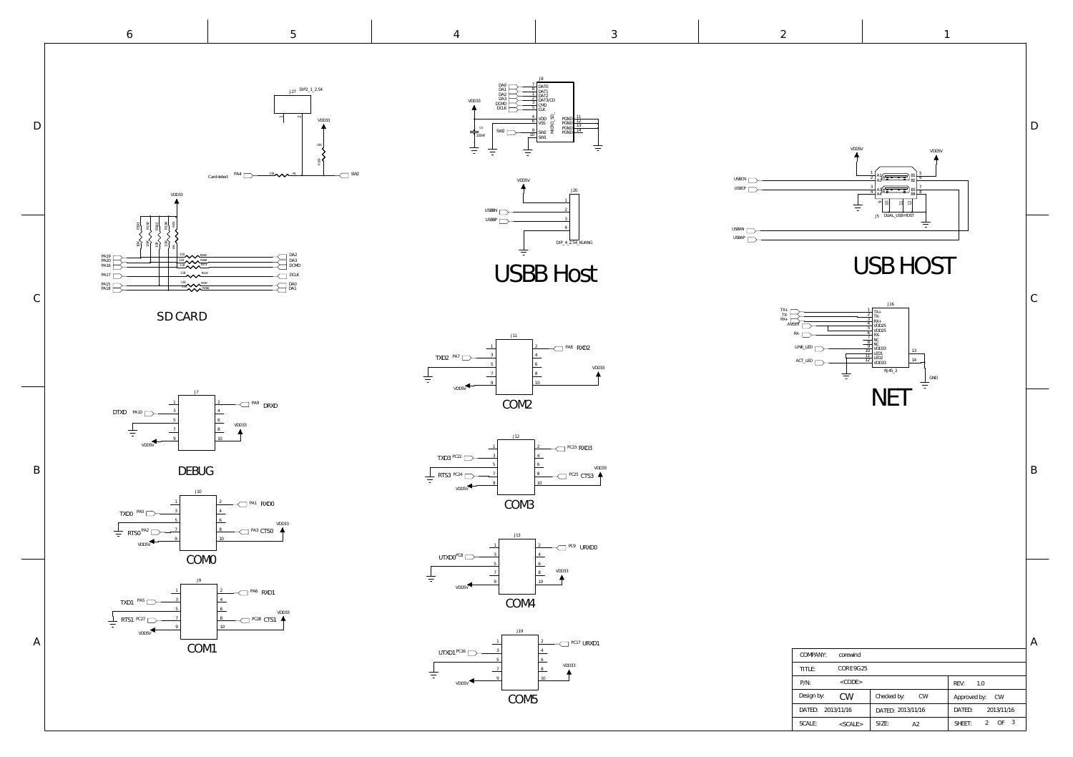6

5

| UUMPANI.          | corewiria     |                   |                                                        |
|-------------------|---------------|-------------------|--------------------------------------------------------|
| TITLE:            | CORE9G25      |                   |                                                        |
| $P/N$ :           | $<$ CODE>     |                   | REV:<br>1.0                                            |
| Design by:        | <b>CW</b>     | Checked by:<br>CW | Approved by: CW                                        |
| DATED: 2013/11/16 |               | DATED: 2013/11/16 | DATED:<br>2013/11/16                                   |
| SCALE:            | $<$ SCALE $>$ | SIZE:<br>A2       | $\mathbf{3}$<br>$\bigcap$<br>$\mathcal{Z}^-$<br>SHEET: |
|                   |               |                   |                                                        |

 $\overline{\phantom{a}}$ 

D<br>B<br>A  $\mathbf B$ 

 $\sim$ 

4

 $\mathsf C$ 

 $\mathbf{D}$ 

3

吉

2

1



D<br>B<br>A

 $\, {\bf B}$ 

 $\mathsf A$ 

 $\mathsf C$ 

 $\mathbf D$ 





10K

VDD3:



















<sup>PA1</sup> RXD0

J10

TXD0 PA0







J27 DIP2\_1\_2.54



VDD5V

VDD33

VDD33

VDD5V

<sup>PC17</sup> URXD1

VDD5V